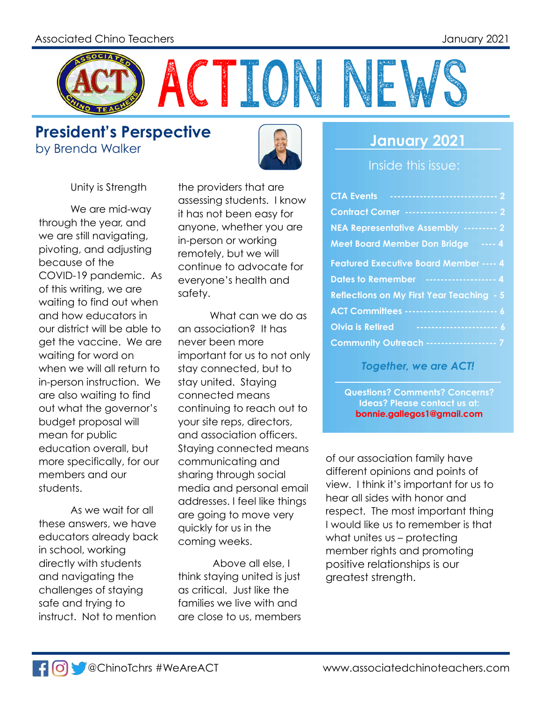

**President's Perspective** by Brenda Walker **January 2021** 



Unity is Strength

We are mid-way through the year, and we are still navigating, pivoting, and adjusting because of the COVID-19 pandemic. As of this writing, we are waiting to find out when and how educators in our district will be able to get the vaccine. We are waiting for word on when we will all return to in-person instruction. We are also waiting to find out what the governor's budget proposal will mean for public education overall, but more specifically, for our members and our students.

As we wait for all these answers, we have educators already back in school, working directly with students and navigating the challenges of staying safe and trying to instruct. Not to mention

the providers that are assessing students. I know it has not been easy for anyone, whether you are in-person or working remotely, but we will continue to advocate for everyone's health and safety.

What can we do as an association? It has never been more important for us to not only stay connected, but to stay united. Staying connected means continuing to reach out to your site reps, directors, and association officers. Staying connected means communicating and sharing through social media and personal email addresses. I feel like things are going to move very quickly for us in the coming weeks.

 Above all else, I think staying united is just as critical. Just like the families we live with and are close to us, members

Inside this issue:

| <b>Contract Corner ------------------------ 2</b>  |  |
|----------------------------------------------------|--|
| NEA Representative Assembly --------- 2            |  |
| Meet Board Member Don Bridge ---- 4                |  |
| <b>Featured Executive Board Member ---- 4</b>      |  |
| Dates to Remember ------------------- 4            |  |
| <b>Reflections on My First Year Teaching - 5</b>   |  |
| <b>ACT Committees -------------------------- 6</b> |  |
| <b>Olvia is Retired</b>                            |  |
| <b>Community Outreach ------------------ 7</b>     |  |

*Together, we are ACT!*

**Questions? Comments? Concerns? Ideas? Please contact us at: bonnie.gallegos1@gmail.com**

of our association family have different opinions and points of view. I think it's important for us to hear all sides with honor and respect. The most important thing I would like us to remember is that what unites us – protecting member rights and promoting positive relationships is our greatest strength.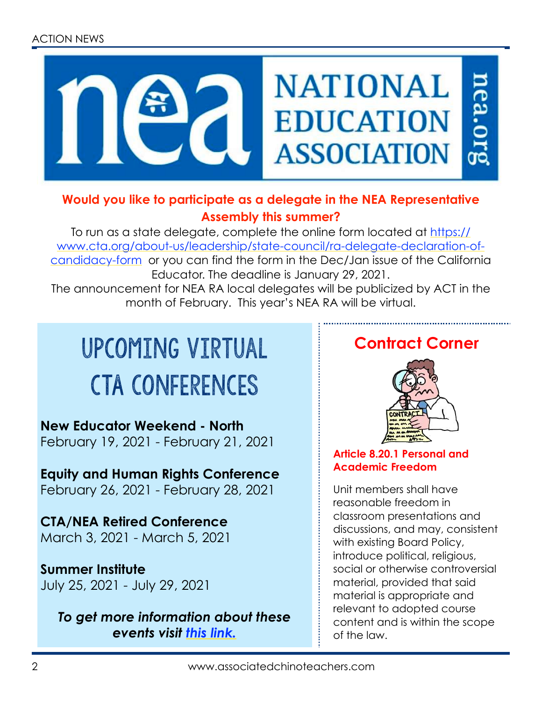#### ACTION NEWS



#### **Would you like to participate as a delegate in the NEA Representative Assembly this summer?**

To run as a state delegate, complete the online form located at [https://](https://www.cta.org/about-us/leadership/state-council/ra-delegate-declaration-of-candidacy-form) [www.cta.org/about-us/leadership/state-council/ra-delegate-declaration-of](https://www.cta.org/about-us/leadership/state-council/ra-delegate-declaration-of-candidacy-form)[candidacy-form](https://www.cta.org/about-us/leadership/state-council/ra-delegate-declaration-of-candidacy-form) or you can find the form in the Dec/Jan issue of the California Educator. The deadline is January 29, 2021.

The announcement for NEA RA local delegates will be publicized by ACT in the month of February. This year's NEA RA will be virtual.

## upcoming virtual cTA Conferences

**New Educator Weekend - North** February 19, 2021 - February 21, 2021

**Equity and Human Rights Conference** February 26, 2021 - February 28, 2021

**CTA/NEA Retired Conference** March 3, 2021 - March 5, 2021

#### **Summer Institute**

July 25, 2021 - July 29, 2021

*To get more information about these events visit [this link.](https://www.cta.org/events/list/?tribe__ecp_custom_3=Virtual&tribe_eventcategory%5B0%5D=1156)*

### **Contract Corner**



#### **Article 8.20.1 Personal and Academic Freedom**

Unit members shall have reasonable freedom in classroom presentations and discussions, and may, consistent with existing Board Policy, introduce political, religious, social or otherwise controversial material, provided that said material is appropriate and relevant to adopted course content and is within the scope of the law.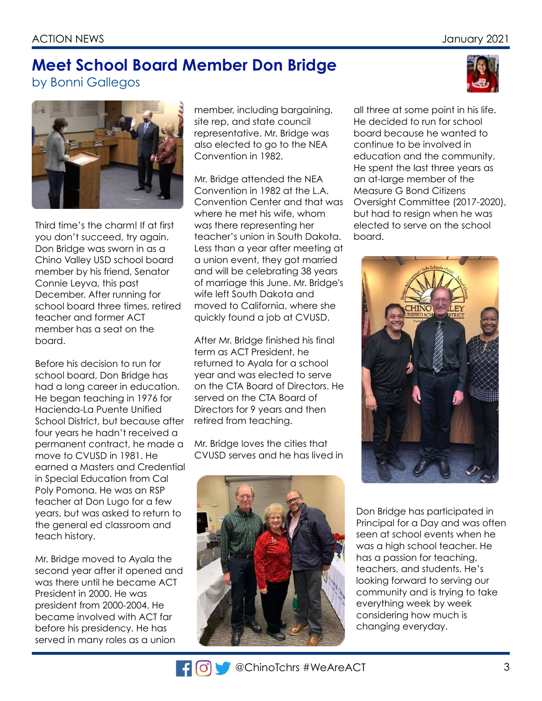#### **Meet School Board Member Don Bridge** by Bonni Gallegos





Third time's the charm! If at first you don't succeed, try again. Don Bridge was sworn in as a Chino Valley USD school board member by his friend, Senator Connie Leyva, this past December. After running for school board three times, retired teacher and former ACT member has a seat on the board.

Before his decision to run for school board, Don Bridge has had a long career in education. He began teaching in 1976 for Hacienda-La Puente Unified School District, but because after four years he hadn't received a permanent contract, he made a move to CVUSD in 1981. He earned a Masters and Credential in Special Education from Cal Poly Pomona. He was an RSP teacher at Don Lugo for a few years, but was asked to return to the general ed classroom and teach history.

Mr. Bridge moved to Ayala the second year after it opened and was there until he became ACT President in 2000. He was president from 2000-2004. He became involved with ACT far before his presidency. He has served in many roles as a union

member, including bargaining, site rep, and state council representative. Mr. Bridge was also elected to go to the NEA Convention in 1982.

Mr. Bridge attended the NEA Convention in 1982 at the L.A. Convention Center and that was where he met his wife, whom was there representing her teacher's union in South Dakota. Less than a year after meeting at a union event, they got married and will be celebrating 38 years of marriage this June. Mr. Bridge's wife left South Dakota and moved to California, where she quickly found a job at CVUSD.

After Mr. Bridge finished his final term as ACT President, he returned to Ayala for a school year and was elected to serve on the CTA Board of Directors. He served on the CTA Board of Directors for 9 years and then retired from teaching.

Mr. Bridge loves the cities that CVUSD serves and he has lived in



all three at some point in his life. He decided to run for school board because he wanted to continue to be involved in education and the community. He spent the last three years as an at-large member of the Measure G Bond Citizens Oversight Committee (2017-2020), but had to resign when he was elected to serve on the school board.



Don Bridge has participated in Principal for a Day and was often seen at school events when he was a high school teacher. He has a passion for teaching, teachers, and students. He's looking forward to serving our community and is trying to take everything week by week considering how much is changing everyday.

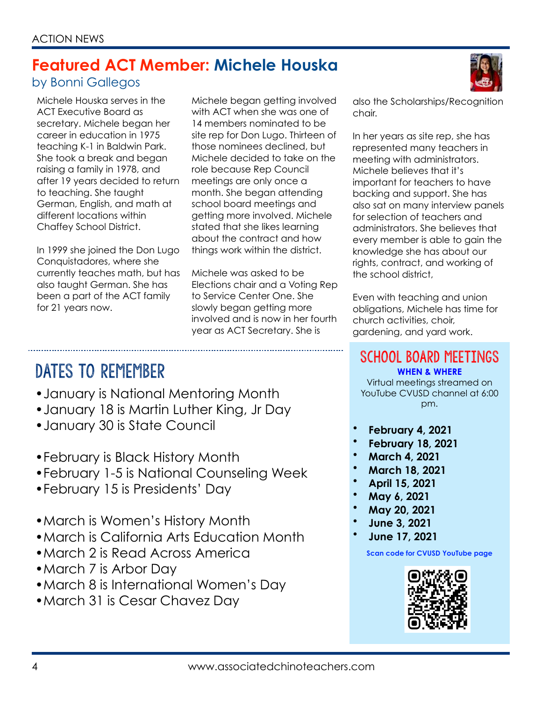### **Featured ACT Member: Michele Houska**

#### by Bonni Gallegos

Michele Houska serves in the ACT Executive Board as secretary. Michele began her career in education in 1975 teaching K-1 in Baldwin Park. She took a break and began raising a family in 1978, and after 19 years decided to return to teaching. She taught German, English, and math at different locations within Chaffey School District.

In 1999 she joined the Don Lugo Conquistadores, where she currently teaches math, but has also taught German. She has been a part of the ACT family for 21 years now.

Michele began getting involved with ACT when she was one of 14 members nominated to be site rep for Don Lugo. Thirteen of those nominees declined, but Michele decided to take on the role because Rep Council meetings are only once a month. She began attending school board meetings and getting more involved. Michele stated that she likes learning about the contract and how things work within the district.

Michele was asked to be Elections chair and a Voting Rep to Service Center One. She slowly began getting more involved and is now in her fourth year as ACT Secretary. She is

DATES TO REMEMBER

- •January is National Mentoring Month
- •January 18 is Martin Luther King, Jr Day
- •January 30 is State Council
- •February is Black History Month
- •February 1-5 is National Counseling Week
- •February 15 is Presidents' Day
- •March is Women's History Month
- •March is California Arts Education Month
- •March 2 is Read Across America
- •March 7 is Arbor Day
- •March 8 is International Women's Day
- •March 31 is Cesar Chavez Day

also the Scholarships/Recognition chair.

In her years as site rep, she has represented many teachers in meeting with administrators. Michele believes that it's important for teachers to have backing and support. She has also sat on many interview panels for selection of teachers and administrators. She believes that every member is able to gain the knowledge she has about our rights, contract, and working of the school district,

Even with teaching and union obligations, Michele has time for church activities, choir, gardening, and yard work.

SCHOOL BOARD MEETINGS **WHEN & WHERE**

Virtual meetings streamed on YouTube CVUSD channel at 6:00 pm.

- **February 4, 2021**
- **February 18, 2021**
- **March 4, 2021**
- **March 18, 2021**
- **April 15, 2021**
- **May 6, 2021**
- **May 20, 2021**
- **June 3, 2021**
- **June 17, 2021**

**Scan code for CVUSD YouTube page**

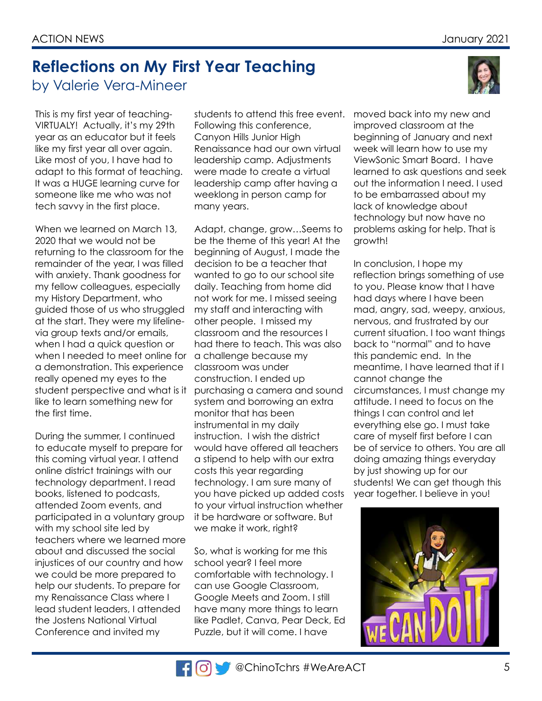### **Reflections on My First Year Teaching** by Valerie Vera-Mineer

This is my first year of teaching-VIRTUALY! Actually, it's my 29th year as an educator but it feels like my first year all over again. Like most of you, I have had to adapt to this format of teaching. It was a HUGE learning curve for someone like me who was not tech savvy in the first place.

When we learned on March 13, 2020 that we would not be returning to the classroom for the remainder of the year, I was filled with anxiety. Thank goodness for my fellow colleagues, especially my History Department, who guided those of us who struggled at the start. They were my lifelinevia group texts and/or emails, when I had a quick question or when I needed to meet online for a demonstration. This experience really opened my eyes to the student perspective and what is it like to learn something new for the first time.

During the summer, I continued to educate myself to prepare for this coming virtual year. I attend online district trainings with our technology department. I read books, listened to podcasts, attended Zoom events, and participated in a voluntary group with my school site led by teachers where we learned more about and discussed the social injustices of our country and how we could be more prepared to help our students. To prepare for my Renaissance Class where I lead student leaders, I attended the Jostens National Virtual Conference and invited my

students to attend this free event. Following this conference, Canyon Hills Junior High Renaissance had our own virtual leadership camp. Adjustments were made to create a virtual leadership camp after having a weeklong in person camp for many years.

Adapt, change, grow…Seems to be the theme of this year! At the beginning of August, I made the decision to be a teacher that wanted to go to our school site daily. Teaching from home did not work for me. I missed seeing my staff and interacting with other people. I missed my classroom and the resources I had there to teach. This was also a challenge because my classroom was under construction. I ended up purchasing a camera and sound system and borrowing an extra monitor that has been instrumental in my daily instruction. I wish the district would have offered all teachers a stipend to help with our extra costs this year regarding technology. I am sure many of you have picked up added costs to your virtual instruction whether it be hardware or software. But we make it work, right?

So, what is working for me this school year? I feel more comfortable with technology. I can use Google Classroom, Google Meets and Zoom. I still have many more things to learn like Padlet, Canva, Pear Deck, Ed Puzzle, but it will come. I have

moved back into my new and improved classroom at the beginning of January and next week will learn how to use my ViewSonic Smart Board. I have learned to ask questions and seek out the information I need. I used to be embarrassed about my lack of knowledge about technology but now have no problems asking for help. That is growth!

In conclusion, I hope my reflection brings something of use to you. Please know that I have had days where I have been mad, angry, sad, weepy, anxious, nervous, and frustrated by our current situation. I too want things back to "normal" and to have this pandemic end. In the meantime, I have learned that if I cannot change the circumstances, I must change my attitude. I need to focus on the things I can control and let everything else go. I must take care of myself first before I can be of service to others. You are all doing amazing things everyday by just showing up for our students! We can get though this year together. I believe in you!



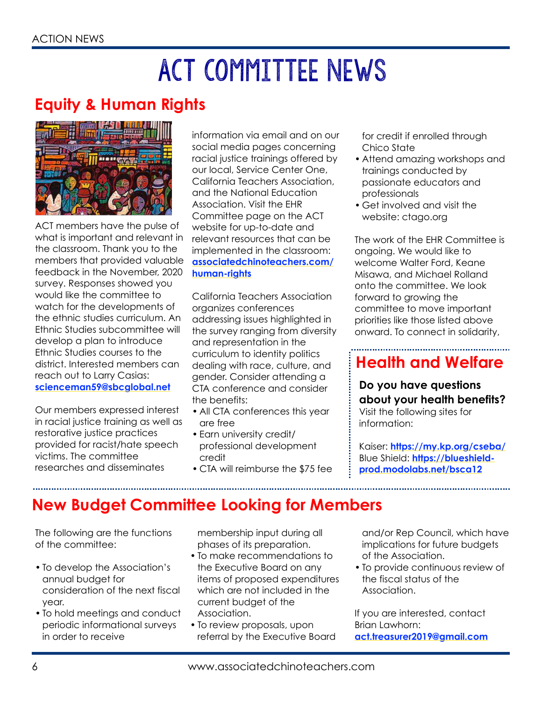# ACT Committee News

### **Equity & Human Rights**



ACT members have the pulse of what is important and relevant in the classroom. Thank you to the members that provided valuable feedback in the November, 2020 survey. Responses showed you would like the committee to watch for the developments of the ethnic studies curriculum. An Ethnic Studies subcommittee will develop a plan to introduce Ethnic Studies courses to the district. Interested members can reach out to Larry Casias: **[scienceman59@sbcglobal.net](mailto:scienceman59@sbcglobal.net)** 

Our members expressed interest in racial justice training as well as restorative justice practices provided for racist/hate speech victims. The committee researches and disseminates

information via email and on our social media pages concerning racial justice trainings offered by our local, Service Center One, California Teachers Association, and the National Education Association. Visit the EHR Committee page on the ACT website for up-to-date and relevant resources that can be implemented in the classroom: **[associatedchinoteachers.com/](http://associatedchinoteachers.com/human-rights) [human-rights](http://associatedchinoteachers.com/human-rights)**

California Teachers Association organizes conferences addressing issues highlighted in the survey ranging from diversity and representation in the curriculum to identity politics dealing with race, culture, and gender. Consider attending a CTA conference and consider the benefits:

- All CTA conferences this year are free
- Earn university credit/ professional development credit
- CTA will reimburse the \$75 fee

for credit if enrolled through Chico State

- Attend amazing workshops and trainings conducted by passionate educators and professionals
- Get involved and visit the website: ctago.org

The work of the EHR Committee is ongoing. We would like to welcome Walter Ford, Keane Misawa, and Michael Rolland onto the committee. We look forward to growing the committee to move important priorities like those listed above onward. To connect in solidarity,

## **Health and Welfare**

**Do you have questions about your health benefits?** Visit the following sites for information:

Kaiser: **<https://my.kp.org/cseba/>** Blue Shield: **[https://blueshield](https://blueshield-prod.modolabs.net/bsca12)[prod.modolabs.net/bsca12](https://blueshield-prod.modolabs.net/bsca12)**

### **New Budget Committee Looking for Members**

The following are the functions of the committee:

- To develop the Association's annual budget for consideration of the next fiscal year.
- To hold meetings and conduct periodic informational surveys in order to receive

membership input during all phases of its preparation.

- To make recommendations to the Executive Board on any items of proposed expenditures which are not included in the current budget of the Association.
- To review proposals, upon referral by the Executive Board

and/or Rep Council, which have implications for future budgets of the Association.

• To provide continuous review of the fiscal status of the Association.

If you are interested, contact Brian Lawhorn: **[act.treasurer2019@gmail.com](mailto:act.treasurer2019@gmail.com)**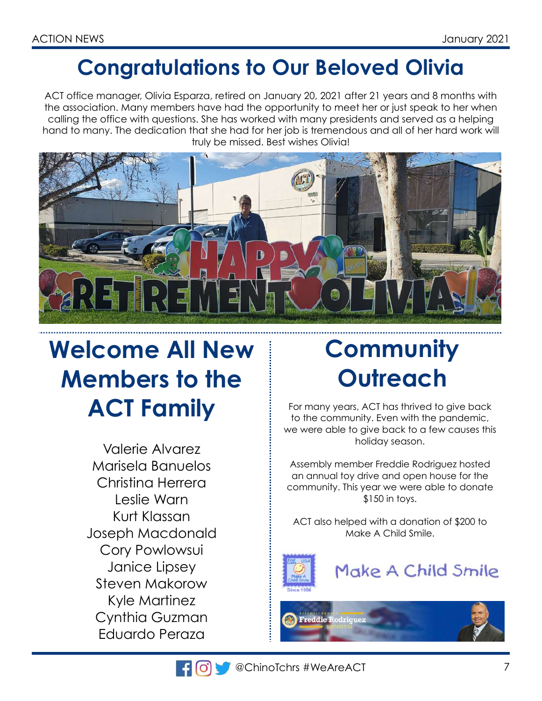## **Congratulations to Our Beloved Olivia**

ACT office manager, Olivia Esparza, retired on January 20, 2021 after 21 years and 8 months with the association. Many members have had the opportunity to meet her or just speak to her when calling the office with questions. She has worked with many presidents and served as a helping hand to many. The dedication that she had for her job is tremendous and all of her hard work will truly be missed. Best wishes Olivia!



## **Welcome All New Members to the ACT Family**

Valerie Alvarez Marisela Banuelos Christina Herrera Leslie Warn Kurt Klassan Joseph Macdonald Cory Powlowsui Janice Lipsey Steven Makorow Kyle Martinez Cynthia Guzman Eduardo Peraza

## **Community Outreach**

For many years, ACT has thrived to give back to the community. Even with the pandemic, we were able to give back to a few causes this holiday season.

Assembly member Freddie Rodriguez hosted an annual toy drive and open house for the community. This year we were able to donate \$150 in toys.

ACT also helped with a donation of \$200 to Make A Child Smile.